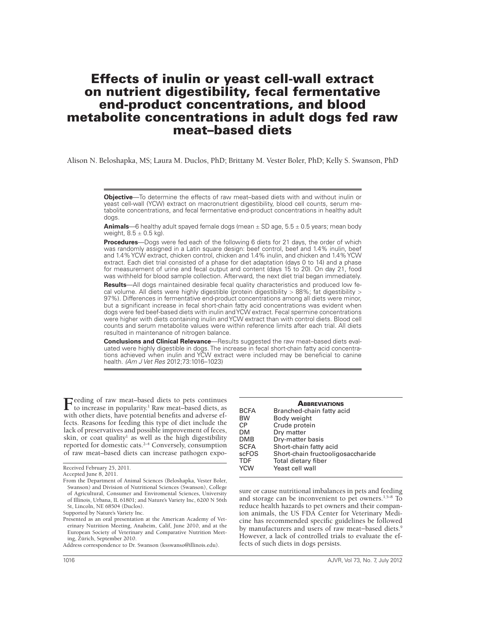# Effects of inulin or yeast cell-wall extract on nutrient digestibility, fecal fermentative end-product concentrations, and blood metabolite concentrations in adult dogs fed raw meat–based diets

Alison N. Beloshapka, MS; Laura M. Duclos, PhD; Brittany M. Vester Boler, PhD; Kelly S. Swanson, PhD

**Animals**—6 healthy adult spayed female dogs (mean ± SD age, 5.5 ± 0.5 years; mean body weight,  $8.5 \pm 0.5$  kg).

**Procedures**—Dogs were fed each of the following 6 diets for 21 days, the order of which was randomly assigned in a Latin square design: beef control, beef and 1.4% inulin, beef and 1.4% YCW extract, chicken control, chicken and 1.4% inulin, and chicken and 1.4% YCW extract. Each diet trial consisted of a phase for diet adaptation (days 0 to 14) and a phase for measurement of urine and fecal output and content (days 15 to 20). On day 21, food was withheld for blood sample collection. Afterward, the next diet trial began immediately.

**Results**—All dogs maintained desirable fecal quality characteristics and produced low fecal volume. All diets were highly digestible (protein digestibility > 88%; fat digestibility > 97%). Differences in fermentative end-product concentrations among all diets were minor, but a significant increase in fecal short-chain fatty acid concentrations was evident when dogs were fed beef-based diets with inulin and YCW extract. Fecal spermine concentrations were higher with diets containing inulin and YCW extract than with control diets. Blood cell counts and serum metabolite values were within reference limits after each trial. All diets resulted in maintenance of nitrogen balance.

**Conclusions and Clinical Relevance**—Results suggested the raw meat–based diets evaluated were highly digestible in dogs. The increase in fecal short-chain fatty acid concentrations achieved when inulin and YCW extract were included may be beneficial to canine health. *(Am J Vet Res* 2012;73:1016–1023)

Feeding of raw meat–based diets to pets continues<br>to increase in popularity.<sup>1</sup> Raw meat–based diets, as with other diets, have potential benefits and adverse effects. Reasons for feeding this type of diet include the lack of preservatives and possible improvement of feces, skin, or coat quality<sup>1</sup> as well as the high digestibility reported for domestic cats.2–4 Conversely, consumption of raw meat–based diets can increase pathogen expo-

|             | <b>ABBREVIATIONS</b>              |
|-------------|-----------------------------------|
| <b>BCFA</b> | Branched-chain fatty acid         |
| <b>BW</b>   | Body weight                       |
| <b>CP</b>   | Crude protein                     |
| DM          | Dry matter                        |
| DMB         | Dry-matter basis                  |
| <b>SCFA</b> | Short-chain fatty acid            |
| scFOS       | Short-chain fructooligosaccharide |
| <b>TDF</b>  | Total dietary fiber               |
| <b>YCW</b>  | Yeast cell wall                   |

sure or cause nutritional imbalances in pets and feeding and storage can be inconvenient to pet owners.<sup>1,5-8</sup> To reduce health hazards to pet owners and their companion animals, the US FDA Center for Veterinary Medicine has recommended specific guidelines be followed by manufacturers and users of raw meat−based diets.9 However, a lack of controlled trials to evaluate the effects of such diets in dogs persists.

**Objective**—To determine the effects of raw meat–based diets with and without inulin or yeast cell-wall (YCW) extract on macronutrient digestibility, blood cell counts, serum metabolite concentrations, and fecal fermentative end-product concentrations in healthy adult dogs.

Received February 25, 2011.

Accepted June 8, 2011.

From the Department of Animal Sciences (Beloshapka, Vester Boler, Swanson) and Division of Nutritional Sciences (Swanson), College of Agricultural, Consumer and Enviromental Sciences, University of Illinois, Urbana, IL 61801; and Nature's Variety Inc, 6200 N 56th St, Lincoln, NE 68504 (Duclos).

Supported by Nature's Variety Inc.

Presented as an oral presentation at the American Academy of Veterinary Nutrition Meeting, Anaheim, Calif, June 2010, and at the European Society of Veterinary and Comparative Nutrition Meeting, Zürich, September 2010.

Address correspondence to Dr. Swanson (ksswanso@illinois.edu).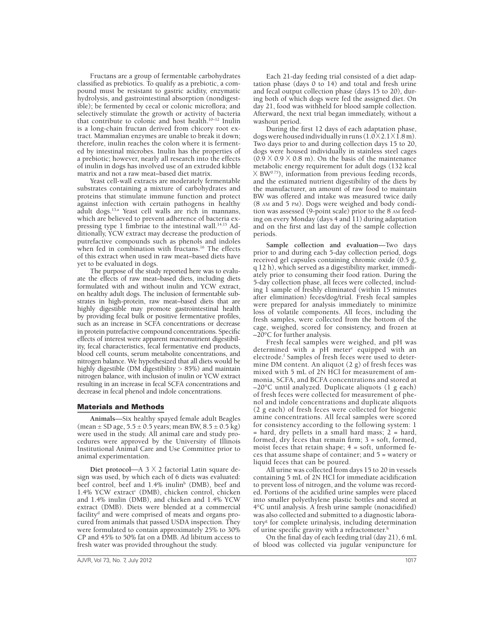Fructans are a group of fermentable carbohydrates classified as prebiotics. To qualify as a prebiotic, a compound must be resistant to gastric acidity, enzymatic hydrolysis, and gastrointestinal absorption (nondigestible); be fermented by cecal or colonic microflora; and selectively stimulate the growth or activity of bacteria that contribute to colonic and host health.10–12 Inulin is a long-chain fructan derived from chicory root extract. Mammalian enzymes are unable to break it down; therefore, inulin reaches the colon where it is fermented by intestinal microbes. Inulin has the properties of a prebiotic; however, nearly all research into the effects of inulin in dogs has involved use of an extruded kibble matrix and not a raw meat–based diet matrix.

Yeast cell-wall extracts are moderately fermentable substrates containing a mixture of carbohydrates and proteins that stimulate immune function and protect against infection with certain pathogens in healthy adult dogs.13,a Yeast cell walls are rich in mannans, which are believed to prevent adherence of bacteria expressing type 1 fimbriae to the intestinal wall.<sup>14,15</sup> Additionally, YCW extract may decrease the production of putrefactive compounds such as phenols and indoles when fed in combination with fructans.<sup>16</sup> The effects of this extract when used in raw meat–based diets have yet to be evaluated in dogs.

The purpose of the study reported here was to evaluate the effects of raw meat–based diets, including diets formulated with and without inulin and YCW extract, on healthy adult dogs. The inclusion of fermentable substrates in high-protein, raw meat–based diets that are highly digestible may promote gastrointestinal health by providing fecal bulk or positive fermentative profiles, such as an increase in SCFA concentrations or decrease in protein putrefactive compound concentrations. Specific effects of interest were apparent macronutrient digestibility, fecal characteristics, fecal fermentative end products, blood cell counts, serum metabolite concentrations, and nitrogen balance. We hypothesized that all diets would be highly digestible (DM digestibility > 85%) and maintain nitrogen balance, with inclusion of inulin or YCW extract resulting in an increase in fecal SCFA concentrations and decrease in fecal phenol and indole concentrations.

## Materials and Methods

**Animals**—Six healthy spayed female adult Beagles (mean  $\pm$  SD age, 5.5  $\pm$  0.5 years; mean BW, 8.5  $\pm$  0.5 kg) were used in the study. All animal care and study procedures were approved by the University of Illinois Institutional Animal Care and Use Committee prior to animal experimentation.

**Diet protocol—A 3**  $\times$  **2 factorial Latin square de**sign was used, by which each of 6 diets was evaluated: beef control, beef and 1.4% inulin<sup>b</sup> (DMB), beef and 1.4% YCW extract<sup>c</sup> (DMB), chicken control, chicken and 1.4% inulin (DMB), and chicken and 1.4% YCW extract (DMB). Diets were blended at a commercial facility<sup>d</sup> and were comprised of meats and organs procured from animals that passed USDA inspection. They were formulated to contain approximately 25% to 30% CP and 45% to 50% fat on a DMB. Ad libitum access to fresh water was provided throughout the study.

Each 21-day feeding trial consisted of a diet adaptation phase (days 0 to 14) and total and fresh urine and fecal output collection phase (days 15 to 20), during both of which dogs were fed the assigned diet. On day 21, food was withheld for blood sample collection. Afterward, the next trial began immediately, without a washout period.

During the first 12 days of each adaptation phase, dogs were housed individually in runs  $(1.0 \times 2.1 \times 1.8 \,\mathrm{m})$ . Two days prior to and during collection days 15 to 20, dogs were housed individually in stainless steel cages  $(0.9 \times 0.9 \times 0.8 \text{ m})$ . On the basis of the maintenance metabolic energy requirement for adult dogs (132 kcal  $\times$  BW<sup>0.75</sup>), information from previous feeding records, and the estimated nutrient digestibility of the diets by the manufacturer, an amount of raw food to maintain BW was offered and intake was measured twice daily (8 am and 5 pm). Dogs were weighed and body condition was assessed (9-point scale) prior to the 8 am feeding on every Monday (days 4 and 11) during adaptation and on the first and last day of the sample collection periods.

**Sample collection and evaluation**—Two days prior to and during each 5-day collection period, dogs received gel capsules containing chromic oxide (0.5 g, q 12 h), which served as a digestibility marker, immediately prior to consuming their food ration. During the 5-day collection phase, all feces were collected, including 1 sample of freshly eliminated (within 15 minutes after elimination) feces/dog/trial. Fresh fecal samples were prepared for analysis immediately to minimize loss of volatile components. All feces, including the fresh samples, were collected from the bottom of the cage, weighed, scored for consistency, and frozen at –20°C for further analysis.

Fresh fecal samples were weighed, and pH was determined with a pH meter<sup>e</sup> equipped with an electrode.<sup>f</sup> Samples of fresh feces were used to determine DM content. An aliquot (2 g) of fresh feces was mixed with 5 mL of 2N HCl for measurement of ammonia, SCFA, and BCFA concentrations and stored at –20°C until analyzed. Duplicate aliquots (1 g each) of fresh feces were collected for measurement of phenol and indole concentrations and duplicate aliquots (2 g each) of fresh feces were collected for biogenic amine concentrations. All fecal samples were scored for consistency according to the following system: 1 = hard, dry pellets in a small hard mass; 2 = hard, formed, dry feces that remain firm; 3 = soft, formed, moist feces that retain shape;  $4 = \text{soft}$ , unformed feces that assume shape of container; and 5 = watery or liquid feces that can be poured.

All urine was collected from days 15 to 20 in vessels containing 5 mL of 2N HCl for immediate acidification to prevent loss of nitrogen, and the volume was recorded. Portions of the acidified urine samples were placed into smaller polyethylene plastic bottles and stored at 4°C until analysis. A fresh urine sample (nonacidified) was also collected and submitted to a diagnostic laboratory<sup>g</sup> for complete urinalysis, including determination of urine specific gravity with a refractometer.<sup>h</sup>

On the final day of each feeding trial (day 21), 6 mL of blood was collected via jugular venipuncture for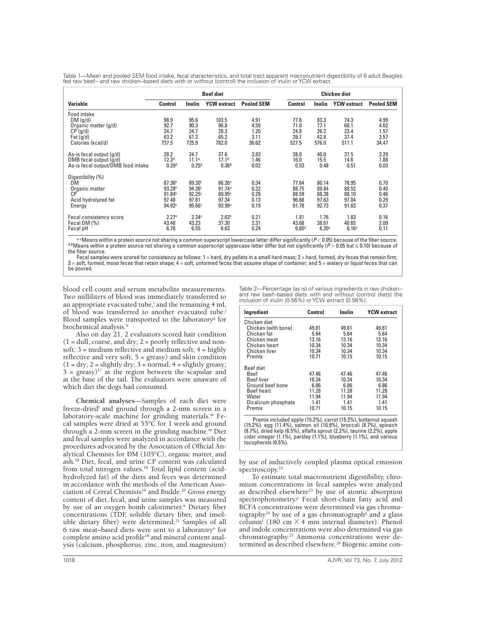Table 1—Mean and pooled SEM food intake, fecal characteristics, and total tract apparent macronutrient digestibility of 6 adult Beagles fed raw beef− and raw chicken−based diets with or without (control) the inclusion of inulin or YCW extract.

|                                    | <b>Beef diet</b>   |                    |                    |                   | Chicken diet      |                   |                    |                   |
|------------------------------------|--------------------|--------------------|--------------------|-------------------|-------------------|-------------------|--------------------|-------------------|
| Variable                           | Control            | Inulin             | <b>YCW</b> extract | <b>Pooled SEM</b> | Control           | Inulin            | <b>YCW</b> extract | <b>Pooled SEM</b> |
| Food intake                        |                    |                    |                    |                   |                   |                   |                    |                   |
| DM(q/d)                            | 98.9               | 95.6               | 103.5              | 4.91              | 77.6              | 83.3              | 74.3               | 4.99              |
| Organic matter (g/d)               | 92.7               | 90.3               | 96.8               | 4.59              | 71.0              | 77.1              | 68.1               | 4.62              |
| $CP$ (g/d)                         | 24.7               | 24.7               | 28.3               | 1.20              | 24.8              | 26.2              | 23.4               | 1.57              |
| Fat $(q/d)$                        | 63.2               | 61.3               | 65.2               | 3.11              | 39.7              | 42.8              | 37.4               | 2.57              |
| Calories (kcal/d)                  | 737.5              | 725.9              | 782.0              | 36.62             | 527.5             | 576.0             | 511.1              | 34.47             |
| As-is fecal output (g/d)           | 28.2               | 24.7               | 37.6               | 3.83              | 38.0              | 40.0              | 37.5               | 3.29              |
| DMB fecal output (q/d)             | 12.3 <sup>A</sup>  | $11.1^A$           | $17.1^B$           | 1.46              | 16.0              | 15.5              | 14.6               | 1.88              |
| As-is fecal output/DMB food intake | 0.29 <sup>A</sup>  | $0.25^{A}$         | 0.36 <sup>B</sup>  | 0.02              | 0.53              | 0.48              | 0.51               | 0.03              |
| Digestibility (%)                  |                    |                    |                    |                   |                   |                   |                    |                   |
| DM                                 | 87.36 <sup>b</sup> | 89.30°             | 86.26a             | 0.34              | 77.64             | 80.14             | 78.95              | 0.70              |
| Organic matter                     | 93.28 <sup>b</sup> | 94.26 <sup>c</sup> | 91.74a             | 0.22              | 88.75             | 89.84             | 88.52              | 0.40              |
| СP                                 | 91.84 <sup>b</sup> | $92.25^{\circ}$    | $89.95^{\circ}$    | 0.29              | 88.59             | 88.38             | 88.10              | 0.46              |
| Acid hydrolyzed fat                | 97.48              | 97.81              | 97.34              | 0.13              | 96.68             | 97.63             | 97.04              | 0.29              |
| Energy                             | 94.92 <sup>b</sup> | 95.66c             | 93.99a             | 0.19              | 91.78             | 92.73             | 91.83              | 0.37              |
| Fecal consistency score            | 2.27 <sup>a</sup>  | 2.34 <sup>a</sup>  | 2.63 <sup>b</sup>  | 0.21              | 1.81              | 1.76              | 1.83               | 0.16              |
| Fecal DM (%)                       | 43.48              | 43.23              | 37.30              | 2.31              | 43.68             | 38.61             | 40.65              | 2.09              |
| Fecal pH                           | 6.78               | 6.55               | 6.63               | 0.24              | 6.65 <sup>b</sup> | 6.20 <sup>a</sup> | 6.16 <sup>a</sup>  | 0.11              |

<sup>a-c</sup>Means within a protein source not sharing a common superscript lowercase letter differ significantly ( $P < 0.05$ ) because of the fiber source.<br><sup>AB</sup>Means within a protein source not sharing a common superscript upperca the fiber source.

,Fecal samples were scored for consistency as follows: 1 = hard, dry pellets in a small hard mass; 2 = hard, formed, dry feces that remain firm;<br>3 = soft, formed, moist feces that retain shape; 4 = soft, unformed feces tha be poured.

blood cell count and serum metabolite measurements. Two milliliters of blood was immediately transferred to an appropriate evacuated tube,<sup>i</sup> and the remaining 4 mL of blood was transferred to another evacuated tube.j Blood samples were transported to the laboratory<sup>g</sup> for biochemical analysis.<sup>k</sup>

Also on day 21, 2 evaluators scored hair condition  $(1 = \text{dull}, \text{coarse}, \text{and dry}; 2 = \text{poorly reflective and non-}$ soft;  $3$  = medium reflective and medium soft;  $4$  = highly reflective and very soft; 5 = greasy) and skin condition  $(1 = dry; 2 = slightly dry; 3 = normal; 4 = slightly greasy;$  $5 = \text{greasy}$ <sup>17</sup> at the region between the scapulae and at the base of the tail. The evaluators were unaware of which diet the dogs had consumed.

**Chemical analyses**—Samples of each diet were freeze-dried<sup>1</sup> and ground through a 2-mm screen in a laboratory-scale machine for grinding materials.<sup>m</sup> Fecal samples were dried at  $55^{\circ}$ C for 1 week and ground through a 2-mm screen in the grinding machine.<sup>m</sup> Diet and fecal samples were analyzed in accordance with the procedures advocated by the Association of Official Analytical Chemists for DM (105°C), organic matter, and ash.18 Diet, fecal, and urine CP content was calculated from total nitrogen values.18 Total lipid content (acidhydrolyzed fat) of the diets and feces was determined in accordance with the methods of the American Association of Cereal Chemists<sup>19</sup> and Budde.<sup>20</sup> Gross energy content of diet, fecal, and urine samples was measured by use of an oxygen bomb calorimeter.<sup>n</sup> Dietary fiber concentrations (TDF, soluble dietary fiber, and insoluble dietary fiber) were determined.<sup>21</sup> Samples of all 6 raw meat-based diets were sent to a laboratory<sup>o</sup> for complete amino acid profile<sup>18</sup> and mineral content analysis (calcium, phosphorus, zinc, iron, and magnesium)

Table 2—Percentage (as is) of various ingredients in raw chicken− and raw beef−based diets with and without (control diets) the inclusion of inulin (0.56%) or YCW extract (0.56%).

| Ingredient          | Control | Inulin | <b>YCW</b> extract |
|---------------------|---------|--------|--------------------|
| Chicken diet        |         |        |                    |
| Chicken (with bone) | 49.81   | 49.81  | 49.81              |
| Chicken fat         | 5.64    | 5.64   | 5.64               |
| Chicken meat        | 13.16   | 13.16  | 13.16              |
| Chicken heart       | 10.34   | 10.34  | 10.34              |
| Chicken liver       | 10.34   | 10.34  | 10.34              |
| Premix              | 10.71   | 10.15  | 10.15              |
| Beef diet           |         |        |                    |
| Beef                | 47.46   | 47.46  | 47.46              |
| <b>Beef</b> liver   | 10.34   | 10.34  | 10.34              |
| Ground beef bone    | 6.86    | 6.86   | 6.86               |
| <b>Beef heart</b>   | 11.28   | 11.28  | 11.28              |
| Water               | 11.94   | 11.94  | 11.94              |
| Dicalcium phosphate | 1.41    | 1.41   | 1.41               |
| Premix              | 10.71   | 10.15  | 10.15              |

Premix included apple (15.2%), carrot (15.2%), butternut squash (15.2%), egg (11.4%), salmon oil (10.9%), broccoli (8.7%), spinach (8.7%), dried kelp (6.5%), alfalfa sprout (2.2%), taurine (2.2%), apple cider vinegar (1.1%), parsley (1.1%), blueberry (1.1%), and various tocopherols (0.5%).

by use of inductively coupled plasma optical emission spectroscopy.<sup>22</sup>

To estimate total macronutrient digestibility, chromium concentrations in fecal samples were analyzed as described elsewhere<sup>23</sup> by use of atomic absorption spectrophotometry.<sup>p</sup> Fecal short-chain fatty acid and BCFA concentrations were determined via gas chromatography<sup>24</sup> by use of a gas chromatograph<sup>q</sup> and a glass column<sup>r</sup> (180 cm  $\times$  4 mm internal diameter). Phenol and indole concentrations were also determined via gas chromatography.25 Ammonia concentrations were determined as described elsewhere.<sup>26</sup> Biogenic amine con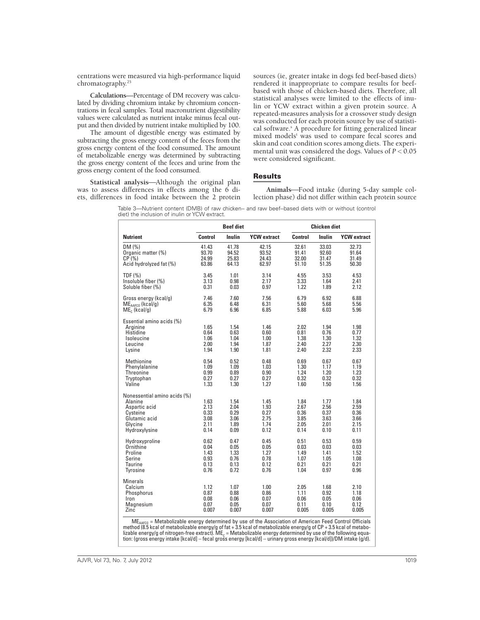centrations were measured via high-performance liquid chromatography.25

**Calculations**—Percentage of DM recovery was calculated by dividing chromium intake by chromium concentrations in fecal samples. Total macronutrient digestibility values were calculated as nutrient intake minus fecal output and then divided by nutrient intake multiplied by 100.

The amount of digestible energy was estimated by subtracting the gross energy content of the feces from the gross energy content of the food consumed. The amount of metabolizable energy was determined by subtracting the gross energy content of the feces and urine from the gross energy content of the food consumed.

Statistical analysis-Although the original plan was to assess differences in effects among the 6 diets, differences in food intake between the 2 protein sources (ie, greater intake in dogs fed beef-based diets) rendered it inappropriate to compare results for beefbased with those of chicken-based diets. Therefore, all statistical analyses were limited to the effects of inulin or YCW extract within a given protein source. A repeated-measures analysis for a crossover study design was conducted for each protein source by use of statistical software.<sup>5</sup> A procedure for fitting generalized linear mixed models<sup>t</sup> was used to compare fecal scores and skin and coat condition scores among diets. The experimental unit was considered the dogs. Values of  $P < 0.05$ were considered significant.

# Results

Animals-Food intake (during 5-day sample collection phase) did not differ within each protein source

| Table 3—Nutrient content (DMB) of raw chicken– and raw beef–based diets with or without (control |  |  |  |  |  |
|--------------------------------------------------------------------------------------------------|--|--|--|--|--|
| diet) the inclusion of inulin or YCW extract.                                                    |  |  |  |  |  |

|                                                                                                                   |                                              | <b>Beef diet</b>                             |                                              |                                              | <b>Chicken diet</b>                          |                                              |
|-------------------------------------------------------------------------------------------------------------------|----------------------------------------------|----------------------------------------------|----------------------------------------------|----------------------------------------------|----------------------------------------------|----------------------------------------------|
| <b>Nutrient</b>                                                                                                   | Control                                      | Inulin                                       | <b>YCW</b> extract                           | Control                                      | Inulin                                       | <b>YCW</b> extract                           |
| DM(%)                                                                                                             | 41.43                                        | 41.78                                        | 42.15                                        | 32.61                                        | 33.03                                        | 32.73                                        |
| Organic matter (%)                                                                                                | 93.70                                        | 94.52                                        | 93.52                                        | 91.41                                        | 92.60                                        | 91.64                                        |
| CP(%)                                                                                                             | 24.99                                        | 25.83                                        | 24.43                                        | 32.00                                        | 31.47                                        | 31.49                                        |
| Acid hydrolyzed fat (%)                                                                                           | 63.86                                        | 64.13                                        | 62.97                                        | 51.10                                        | 51.35                                        | 50.30                                        |
| TDF (%)                                                                                                           | 3.45                                         | 1.01                                         | 3.14                                         | 4.55                                         | 3.53                                         | 4.53                                         |
| Insoluble fiber (%)                                                                                               | 3.13                                         | 0.98                                         | 2.17                                         | 3.33                                         | 1.64                                         | 2.41                                         |
| Soluble fiber (%)                                                                                                 | 0.31                                         | 0.03                                         | 0.97                                         | 1.22                                         | 1.89                                         | 2.12                                         |
| Gross energy (kcal/g)                                                                                             | 7.46                                         | 7.60                                         | 7.56                                         | 6.79                                         | 6.92                                         | 6.88                                         |
| $MEAAFCO$ (kcal/g)                                                                                                | 6.35                                         | 6.48                                         | 6.31                                         | 5.60                                         | 5.68                                         | 5.56                                         |
| $MEc$ (kcal/g)                                                                                                    | 6.79                                         | 6.96                                         | 6.85                                         | 5.88                                         | 6.03                                         | 5.96                                         |
| Essential amino acids (%)<br>Arainine<br>Histidine<br>Isoleucine<br>Leucine<br>Lysine                             | 1.65<br>0.64<br>1.06<br>2.00<br>1.94         | 1.54<br>0.63<br>1.04<br>1.94<br>1.90         | 1.46<br>0.60<br>1.00<br>1.87<br>1.81         | 2.02<br>0.81<br>1.38<br>2.40<br>2.40         | 1.94<br>0.76<br>1.30<br>2.27<br>2.32         | 1.98<br>0.77<br>1.32<br>2.30<br>2.33         |
| Methionine                                                                                                        | 0.54                                         | 0.52                                         | 0.48                                         | 0.69                                         | 0.67                                         | 0.67                                         |
| Phenylalanine                                                                                                     | 1.09                                         | 1.09                                         | 1.03                                         | 1.30                                         | 1.17                                         | 1.19                                         |
| Threonine                                                                                                         | 0.99                                         | 0.89                                         | 0.90                                         | 1.24                                         | 1.20                                         | 1.23                                         |
| Tryptophan                                                                                                        | 0.27                                         | 0.27                                         | 0.27                                         | 0.32                                         | 0.32                                         | 0.32                                         |
| Valine                                                                                                            | 1.33                                         | 1.30                                         | 1.27                                         | 1.60                                         | 1.50                                         | 1.56                                         |
| Nonessential amino acids (%)<br>Alanine<br>Aspartic acid<br>Cysteine<br>Glutamic acid<br>Glycine<br>Hydroxylysine | 1.63<br>2.13<br>0.33<br>3.08<br>2.11<br>0.14 | 1.54<br>2.04<br>0.29<br>3.06<br>1.89<br>0.09 | 1.45<br>1.93<br>0.27<br>2.75<br>1.74<br>0.12 | 1.84<br>2.67<br>0.36<br>3.85<br>2.05<br>0.14 | 1.77<br>2.56<br>0.37<br>3.63<br>2.01<br>0.10 | 1.84<br>2.59<br>0.36<br>3.66<br>2.15<br>0.11 |
| Hydroxyproline                                                                                                    | 0.62                                         | 0.47                                         | 0.45                                         | 0.51                                         | 0.53                                         | 0.59                                         |
| Ornithine                                                                                                         | 0.04                                         | 0.05                                         | 0.05                                         | 0.03                                         | 0.03                                         | 0.03                                         |
| Proline                                                                                                           | 1.43                                         | 1.33                                         | 1.27                                         | 1.49                                         | 1.41                                         | 1.52                                         |
| Serine                                                                                                            | 0.93                                         | 0.76                                         | 0.78                                         | 1.07                                         | 1.05                                         | 1.08                                         |
| <b>Taurine</b>                                                                                                    | 0.13                                         | 0.13                                         | 0.12                                         | 0.21                                         | 0.21                                         | 0.21                                         |
| Tyrosine                                                                                                          | 0.76                                         | 0.72                                         | 0.76                                         | 1.04                                         | 0.97                                         | 0.96                                         |
| Minerals<br>Calcium<br>Phosphorus<br>Iron<br>Magnesium<br>Zinc                                                    | 1.12<br>0.87<br>0.08<br>0.07<br>0.007        | 1.07<br>0.88<br>0.06<br>0.05<br>0.007        | 1.00<br>0.86<br>0.07<br>0.07<br>0.007        | 2.05<br>1.11<br>0.06<br>0.11<br>0.005        | 1.68<br>0.92<br>0.05<br>0.10<br>0.005        | 2.10<br>1.18<br>0.06<br>0.12<br>0.005        |

 $ME<sub>AAFCO</sub>$  = Metabolizable energy determined by use of the Association of American Feed Control Officials method (8.5 kcal of metabolizable energy/g of fat + 3.5 kcal of metabolizable energy/g of CP + 3.5 kcal of metabo method (8.5 kcal of metabolizable energy/g of fat + 3.5 kcal of metabolizable energy/g of CP + 3.5 kcal of metabo-<br>lizable energy/g of nitrogen-free extract). ME<sub>c</sub> = Metabolizable energy determined by use of the followin tion: (gross energy intake [kcal/d] – fecal gross energy [kcal/d] – urinary gross energy [kcal/d])/DM intake (g/d).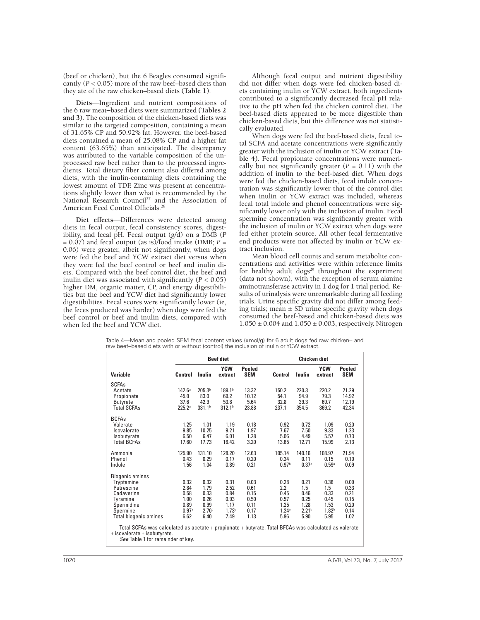(beef or chicken), but the 6 Beagles consumed significantly  $(P < 0.05)$  more of the raw beef–based diets than they ate of the raw chicken–based diets **(Table 1)**.

Diets-Ingredient and nutrient compositions of the 6 raw meat−based diets were summarized **(Tables 2 and 3)**. The composition of the chicken-based diets was similar to the targeted composition, containing a mean of 31.65% CP and 50.92% fat. However, the beef-based diets contained a mean of 25.08% CP and a higher fat content (63.65%) than anticipated. The discrepancy was attributed to the variable composition of the unprocessed raw beef rather than to the processed ingredients. Total dietary fiber content also differed among diets, with the inulin-containing diets containing the lowest amount of TDF. Zinc was present at concentrations slightly lower than what is recommended by the National Research Council<sup>27</sup> and the Association of American Feed Control Officials.28

Diet effects-Differences were detected among diets in fecal output, fecal consistency scores, digestibility, and fecal pH. Fecal output (g/d) on a DMB (*P*  $= 0.07$ ) and fecal output (as is)/food intake (DMB;  $P =$ 0.06) were greater, albeit not significantly, when dogs were fed the beef and YCW extract diet versus when they were fed the beef control or beef and inulin diets. Compared with the beef control diet, the beef and inulin diet was associated with significantly  $(P < 0.05)$ higher DM, organic matter, CP, and energy digestibilities but the beef and YCW diet had significantly lower digestibilities. Fecal scores were significantly lower (ie, the feces produced was harder) when dogs were fed the beef control or beef and inulin diets, compared with when fed the beef and YCW diet.

Although fecal output and nutrient digestibility did not differ when dogs were fed chicken-based diets containing inulin or YCW extract, both ingredients contributed to a significantly decreased fecal pH relative to the pH when fed the chicken control diet. The beef-based diets appeared to be more digestible than chicken-based diets, but this difference was not statistically evaluated.

When dogs were fed the beef-based diets, fecal total SCFA and acetate concentrations were significantly greater with the inclusion of inulin or YCW extract **(Table 4)**. Fecal propionate concentrations were numerically but not significantly greater  $(P = 0.11)$  with the addition of inulin to the beef-based diet. When dogs were fed the chicken-based diets, fecal indole concentration was significantly lower that of the control diet when inulin or YCW extract was included, whereas fecal total indole and phenol concentrations were significantly lower only with the inclusion of inulin. Fecal spermine concentration was significantly greater with the inclusion of inulin or YCW extract when dogs were fed either protein source. All other fecal fermentative end products were not affected by inulin or YCW extract inclusion.

Mean blood cell counts and serum metabolite concentrations and activities were within reference limits for healthy adult dogs<sup>29</sup> throughout the experiment (data not shown), with the exception of serum alanine aminotransferase activity in 1 dog for 1 trial period. Results of urinalysis were unremarkable during all feeding trials. Urine specific gravity did not differ among feeding trials; mean  $\pm$  SD urine specific gravity when dogs consumed the beef-based and chicken-based diets was  $1.050 \pm 0.004$  and  $1.050 \pm 0.003$ , respectively. Nitrogen

|  |                                                                                        |  | Table 4—Mean and pooled SEM fecal content values (µmol/g) for 6 adult dogs fed raw chicken– and |
|--|----------------------------------------------------------------------------------------|--|-------------------------------------------------------------------------------------------------|
|  | raw beef–based diets with or without (control) the inclusion of inulin or YCW extract. |  |                                                                                                 |

|                       |                   |                    | <b>Beef diet</b>      |                      |                   | Chicken diet      |                       |                      |  |
|-----------------------|-------------------|--------------------|-----------------------|----------------------|-------------------|-------------------|-----------------------|----------------------|--|
| <b>Variable</b>       | <b>Control</b>    | Inulin             | <b>YCW</b><br>extract | Pooled<br><b>SEM</b> | <b>Control</b>    | Inulin            | <b>YCW</b><br>extract | Pooled<br><b>SEM</b> |  |
| <b>SCFAs</b>          |                   |                    |                       |                      |                   |                   |                       |                      |  |
| Acetate               | $142.6^{\circ}$   | 205.3 <sup>b</sup> | 189.1 <sup>b</sup>    | 13.32                | 150.2             | 220.3             | 220.2                 | 21.29                |  |
| Propionate            | 45.0              | 83.0<br>42.9       | 69.2                  | 10.12                | 54.1              | 94.9              | 79.3                  | 14.92                |  |
| <b>Butyrate</b>       | 37.6              |                    | 53.8                  | 5.64                 | 32.8              | 39.3              | 69.7                  | 12.19                |  |
| <b>Total SCFAs</b>    | $225.2^a$         | 331.1 <sup>b</sup> | 312.1 <sup>b</sup>    | 23.88                | 237.1             | 354.5             | 369.2                 | 42.34                |  |
| <b>BCFAs</b>          |                   |                    |                       |                      |                   |                   |                       |                      |  |
| Valerate              | 1.25              | 1.01               | 1.19                  | 0.18                 | 0.92              | 0.72              | 1.09                  | 0.20                 |  |
| Isovalerate           | 9.85              | 10.25              | 9.21                  | 1.97                 | 7.67              | 7.50              | 9.33                  | 1.23                 |  |
| Isobutyrate           | 6.50              | 6.47               | 6.01                  | 1.28                 | 5.06              | 4.49              | 5.57                  | 0.73                 |  |
| <b>Total BCFAs</b>    | 17.60             | 17.73              | 16.42                 | 3.20                 | 13.65             | 12.71             | 15.99                 | 2.13                 |  |
| Ammonia               | 125.90            | 131.10             | 128.20                | 12.63                | 105.14            | 140.16            | 108.97                | 21.94                |  |
| Phenol                | 0.43              | 0.29               | 0.17                  | 0.20                 | 0.34              | 0.11              | 0.15                  | 0.10                 |  |
| Indole                | 1.56              | 1.04               | 0.89                  | 0.21                 | 0.97 <sup>b</sup> | 0.37 <sup>a</sup> | 0.59 <sup>a</sup>     | 0.09                 |  |
| Biogenic amines       |                   |                    |                       |                      |                   |                   |                       |                      |  |
| Tryptamine            | 0.32              | 0.32               | 0.31                  | 0.03                 | 0.28              | 0.21              | 0.36                  | 0.09                 |  |
| Putrescine            | 2.84              | 1.79               | 2.52                  | 0.61                 | 2.2               | 1.5               | 1.5                   | 0.33                 |  |
| Cadaverine            | 0.58              | 0.33               | 0.84                  | 0.15                 | 0.45              | 0.46              | 0.33                  | 0.21                 |  |
| Tyramine              | 1.00              | 0.26               | 0.93                  | 0.50                 | 0.57              | 0.25              | 0.45                  | 0.15                 |  |
| Spermidine            | 0.89              | 0.99               | 1.17                  | 0.11                 | 1.25              | 1.28              | 1.53                  | 0.20                 |  |
| Spermine              | 0.97 <sup>a</sup> | 2.70 <sup>c</sup>  | 1.73 <sup>b</sup>     | 0.17                 | 1.24 <sup>a</sup> | 2.21 <sup>b</sup> | 1.82 <sup>b</sup>     | 0.14                 |  |
| Total biogenic amines | 6.62              | 6.40               | 7.49                  | 1.13                 | 5.96              | 5.90              | 5.95                  | 1.02                 |  |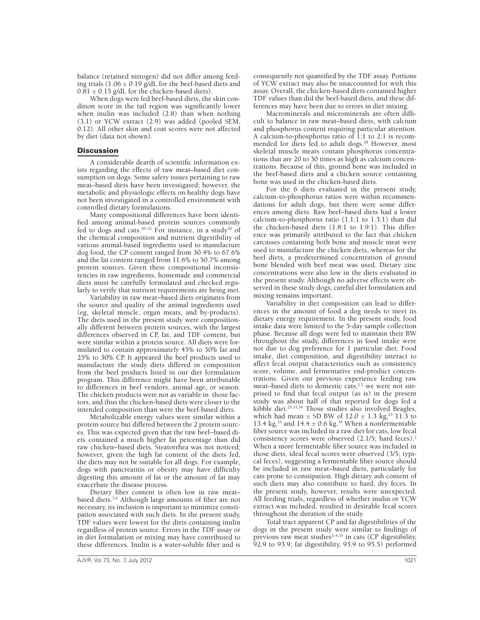balance (retained nitrogen) did not differ among feeding trials  $(1.06 \pm 0.19 \text{ g/dL}$  for the beef-based diets and  $0.81 \pm 0.15$  g/dL for the chicken-based diets).

When dogs were fed beef-based diets, the skin condition score in the tail region was significantly lower when inulin was included (2.8) than when nothing (3.1) or YCW extract (2.9) was added (pooled SEM, 0.12). All other skin and coat scores were not affected by diet (data not shown).

#### **Discussion**

A considerable dearth of scientific information exists regarding the effects of raw meat–based diet consumption on dogs. Some safety issues pertaining to raw meat–based diets have been investigated; however, the metabolic and physiologic effects on healthy dogs have not been investigated in a controlled environment with controlled dietary formulations.

Many compositional differences have been identified among animal-based protein sources commonly fed to dogs and cats.<sup>30-32</sup> For instance, in a study<sup>30</sup> of the chemical composition and nutrient digestibility of various animal-based ingredients used to manufacture dog food, the CP content ranged from 30.4% to 67.6% and the fat content ranged from 11.6% to 50.7% among protein sources. Given these compositional inconsistencies in raw ingredients, homemade and commercial diets must be carefully formulated and checked regularly to verify that nutrient requirements are being met.

Variability in raw meat−based diets originates from the source and quality of the animal ingredients used (eg, skeletal muscle, organ meats, and by-products). The diets used in the present study were compositionally different between protein sources, with the largest differences observed in CP, fat, and TDF content, but were similar within a protein source. All diets were formulated to contain approximately 45% to 50% fat and 25% to 30% CP. It appeared the beef products used to manufacture the study diets differed in composition from the beef products listed in our diet formulation program. This difference might have been attributable to differences in beef vendors, animal age, or season. The chicken products were not as variable in those factors, and thus the chicken-based diets were closer to the intended composition than were the beef-based diets.

Metabolizable energy values were similar within a protein source but differed between the 2 protein sources. This was expected given that the raw beef−based diets contained a much higher fat percentage than did raw chicken−based diets. Steatorrhea was not noticed; however, given the high fat content of the diets fed, the diets may not be suitable for all dogs. For example, dogs with pancreatitis or obesity may have difficulty digesting this amount of fat or the amount of fat may exacerbate the disease process.

Dietary fiber content is often low in raw meat– based diets.<sup>3,u</sup> Although large amounts of fiber are not necessary, its inclusion is important to minimize constipation associated with such diets. In the present study, TDF values were lowest for the diets containing inulin regardless of protein source. Errors in the TDF assay or in diet formulation or mixing may have contributed to these differences. Inulin is a water-soluble fiber and is

consequently not quantified by the TDF assay. Portions of YCW extract may also be unaccounted for with this assay. Overall, the chicken-based diets contained higher TDF values than did the beef-based diets, and these differences may have been due to errors in diet mixing.

Macrominerals and microminerals are often difficult to balance in raw meat–based diets, with calcium and phosphorus content requiring particular attention. A calcium-to-phosphorus ratio of 1:1 to 2:1 is recommended for diets fed to adult dogs.<sup>28</sup> However, most skeletal muscle meats contain phosphorus concentrations that are 20 to 30 times as high as calcium concentrations. Because of this, ground bone was included in the beef-based diets and a chicken source containing bone was used in the chicken-based diets.

For the 6 diets evaluated in the present study, calcium-to-phosphorus ratios were within recommendations for adult dogs, but there were some differences among diets. Raw beef−based diets had a lower calcium-to-phosphorus ratio (1.1:1 to 1.3:1) than did the chicken-based diets (1.8:1 to 1.9:1). This difference was primarily attributed to the fact that chicken carcasses containing both bone and muscle meat were used to manufacture the chicken diets, whereas for the beef diets, a predetermined concentration of ground bone blended with beef meat was used. Dietary zinc concentrations were also low in the diets evaluated in the present study. Although no adverse effects were observed in these study dogs, careful diet formulation and mixing remains important.

Variability in diet composition can lead to differences in the amount of food a dog needs to meet its dietary energy requirement. In the present study, food intake data were limited to the 5-day sample collection phase. Because all dogs were fed to maintain their BW throughout the study, differences in food intake were not due to dog preference for 1 particular diet. Food intake, diet composition, and digestibility interact to affect fecal output characteristics such as consistency score, volume, and fermentative end-product concentrations. Given our previous experience feeding raw meat–based diets to domestic cats, $2,3$  we were not surprised to find that fecal output (as is) in the present study was about half of that reported for dogs fed a kibble diet.25,33,34 Those studies also involved Beagles, which had mean  $\pm$  SD BW of 12.0  $\pm$  1.3 kg,<sup>25</sup> 11.3 to 13.4 kg,<sup>33</sup> and 14.4  $\pm$  0.6 kg.<sup>34</sup> When a nonfermentable fiber source was included in a raw diet for cats, low fecal consistency scores were observed (2.1/5; hard feces).<sup>2</sup> When a more fermentable fiber source was included in those diets, ideal fecal scores were observed (3/5; typical feces), suggesting a fermentable fiber source should be included in raw meat–based diets, particularly for cats prone to constipation. High dietary ash content of such diets may also contribute to hard, dry feces. In the present study, however, results were unexpected. All feeding trials, regardless of whether inulin or YCW extract was included, resulted in desirable fecal scores throughout the duration of the study.

Total tract apparent CP and fat digestibilities of the dogs in the present study were similar to findings of previous raw meat studies<sup> $2-4,35$ </sup> in cats (CP digestibility, 92.9 to 93.9; fat digestibility, 93.9 to 95.5) performed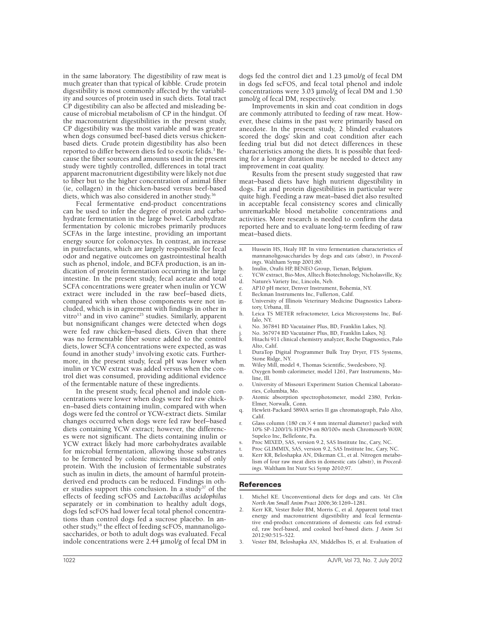in the same laboratory. The digestibility of raw meat is much greater than that typical of kibble. Crude protein digestibility is most commonly affected by the variability and sources of protein used in such diets. Total tract CP digestibility can also be affected and misleading because of microbial metabolism of CP in the hindgut. Of the macronutrient digestibilities in the present study, CP digestibility was the most variable and was greater when dogs consumed beef-based diets versus chickenbased diets. Crude protein digestibility has also been reported to differ between diets fed to exotic felids.<sup>3</sup> Because the fiber sources and amounts used in the present study were tightly controlled, differences in total tract apparent macronutrient digestibility were likely not due to fiber but to the higher concentration of animal fiber (ie, collagen) in the chicken-based versus beef-based diets, which was also considered in another study.<sup>36</sup>

Fecal fermentative end-product concentrations can be used to infer the degree of protein and carbohydrate fermentation in the large bowel. Carbohydrate fermentation by colonic microbes primarily produces SCFAs in the large intestine, providing an important energy source for colonocytes. In contrast, an increase in putrefactants, which are largely responsible for fecal odor and negative outcomes on gastrointestinal health such as phenol, indole, and BCFA production, is an indication of protein fermentation occurring in the large intestine. In the present study, fecal acetate and total SCFA concentrations were greater when inulin or YCW extract were included in the raw beef−based diets, compared with when those components were not included, which is in agreement with findings in other in vitro<sup>13</sup> and in vivo canine<sup>25</sup> studies. Similarly, apparent but nonsignificant changes were detected when dogs were fed raw chicken−based diets. Given that there was no fermentable fiber source added to the control diets, lower SCFA concentrations were expected, as was found in another study<sup>3</sup> involving exotic cats. Furthermore, in the present study, fecal pH was lower when inulin or YCW extract was added versus when the control diet was consumed, providing additional evidence of the fermentable nature of these ingredients.

In the present study, fecal phenol and indole concentrations were lower when dogs were fed raw chicken–based diets containing inulin, compared with when dogs were fed the control or YCW-extract diets. Similar changes occurred when dogs were fed raw beef−based diets containing YCW extract; however, the differences were not significant. The diets containing inulin or YCW extract likely had more carbohydrates available for microbial fermentation, allowing those substrates to be fermented by colonic microbes instead of only protein. With the inclusion of fermentable substrates such as inulin in diets, the amount of harmful proteinderived end products can be reduced. Findings in other studies support this conclusion. In a study<sup>37</sup> of the effects of feeding scFOS and *Lactobacillus acidophilus* separately or in combination to healthy adult dogs, dogs fed scFOS had lower fecal total phenol concentrations than control dogs fed a sucrose placebo. In another study,16 the effect of feeding scFOS, mannanoligosaccharides, or both to adult dogs was evaluated. Fecal indole concentrations were  $2.44 \mu m$ ol/g of fecal DM in dogs fed the control diet and 1.23 µmol/g of fecal DM in dogs fed scFOS, and fecal total phenol and indole concentrations were  $3.03 \mu$ mol/g of fecal DM and  $1.50$ mmol/g of fecal DM, respectively.

Improvements in skin and coat condition in dogs are commonly attributed to feeding of raw meat. However, these claims in the past were primarily based on anecdote. In the present study, 2 blinded evaluators scored the dogs' skin and coat condition after each feeding trial but did not detect differences in these characteristics among the diets. It is possible that feeding for a longer duration may be needed to detect any improvement in coat quality.

Results from the present study suggested that raw meat−based diets have high nutrient digestibility in dogs. Fat and protein digestibilities in particular were quite high. Feeding a raw meat–based diet also resulted in acceptable fecal consistency scores and clinically unremarkable blood metabolite concentrations and activities. More research is needed to confirm the data reported here and to evaluate long-term feeding of raw meat−based diets.

- a. Hussein HS, Healy HP. In vitro fermentation characteristics of mannanoligosaccharides by dogs and cats (abstr), in *Proceedings*. Waltham Symp 2001;80.
- b. Inulin, Orafti HP, BENEO Group, Tienan, Belgium.
- YCW extract, Bio-Mos, Alltech Biotechnology, Nicholasville, Ky.
- d. Nature's Variety Inc, Lincoln, Neb.
- e. AP10 pH meter, Denver Instrument, Bohemia, NY.
- f. Beckman Instruments Inc, Fullerton, Calif.
- g. University of Illinois Veterinary Medicine Diagnostics Laboratory, Urbana, Ill.
- h. Leica TS METER refractometer, Leica Microsystems Inc, Buffalo, NY.
- i. No. 367841 BD Vacutainer Plus, BD, Franklin Lakes, NJ.
- j. No. 367974 BD Vacutainer Plus, BD, Franklin Lakes, NJ.
- k. Hitachi 911 clinical chemistry analyzer, Roche Diagnostics, Palo Alto, Calif.
- l. DuraTop Digital Programmer Bulk Tray Dryer, FTS Systems, Stone Ridge, NY.
- m. Wiley Mill, model 4, Thomas Scientific, Swedesboro, NJ.
- n. Oxygen bomb calorimeter, model 1261, Parr Instruments, Moline, Ill.
- o. University of Missouri Experiment Station Chemical Laboratories, Columbia, Mo.
- Atomic absorption spectrophotometer, model 2380, Perkin-Elmer, Norwalk, Conn.
- Hewlett-Packard 5890A series II gas chromatograph, Palo Alto, Calif.
- Glass column (180 cm  $\times$  4 mm internal diameter) packed with 10% SP-1200/1% H3PO4 on 80/100+ mesh Chromosorb WAW, Supelco Inc, Bellefonte, Pa.
- s. Proc MIXED, SAS, version 9.2, SAS Institute Inc, Cary, NC.
- t. Proc GLIMMIX, SAS, version 9.2, SAS Institute Inc, Cary, NC. u. Kerr KR, Beloshapka AN, Dikeman CL, et al. Nitrogen metabo-
- lism of four raw meat diets in domestic cats (abstr), in *Proceedings*. Waltham Int Nutr Sci Symp 2010;97.

### References

- 1. Michel KE. Unconventional diets for dogs and cats. *Vet Clin North Am Small Anim Pract* 2006;36:1269–1281.
- 2. Kerr KR, Vester Boler BM, Morris C, et al. Apparent total tract energy and macronutrient digestibility and fecal fermentative end-product concentrations of domestic cats fed extruded, raw beef-based, and cooked beef-based diets. *J Anim Sci* 2012;90:515–522.
- 3. Vester BM, Beloshapka AN, Middelbos IS, et al. Evaluation of